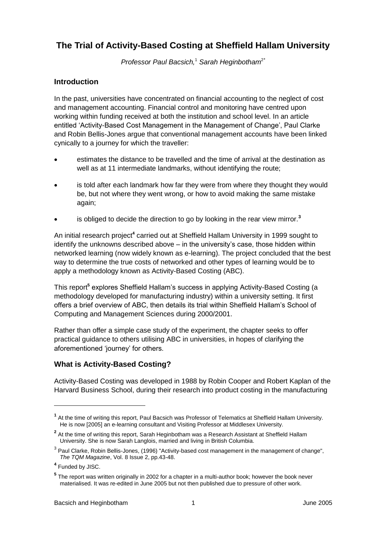# **The Trial of Activity-Based Costing at Sheffield Hallam University**

*Professor Paul Bacsich,*<sup>1</sup> *Sarah Heginbotham*<sup>2</sup>*\**

## **Introduction**

In the past, universities have concentrated on financial accounting to the neglect of cost and management accounting. Financial control and monitoring have centred upon working within funding received at both the institution and school level. In an article entitled 'Activity-Based Cost Management in the Management of Change', Paul Clarke and Robin Bellis-Jones argue that conventional management accounts have been linked cynically to a journey for which the traveller:

- estimates the distance to be travelled and the time of arrival at the destination as well as at 11 intermediate landmarks, without identifying the route;
- is told after each landmark how far they were from where they thought they would be, but not where they went wrong, or how to avoid making the same mistake again;
- is obliged to decide the direction to go by looking in the rear view mirror.**<sup>3</sup>**

An initial research project<sup>4</sup> carried out at Sheffield Hallam University in 1999 sought to identify the unknowns described above – in the university's case, those hidden within networked learning (now widely known as e-learning). The project concluded that the best way to determine the true costs of networked and other types of learning would be to apply a methodology known as Activity-Based Costing (ABC).

This report<sup>5</sup> explores Sheffield Hallam's success in applying Activity-Based Costing (a methodology developed for manufacturing industry) within a university setting. It first offers a brief overview of ABC, then details its trial within Sheffield Hallam's School of Computing and Management Sciences during 2000/2001.

Rather than offer a simple case study of the experiment, the chapter seeks to offer practical guidance to others utilising ABC in universities, in hopes of clarifying the aforementioned 'journey' for others.

## **What is Activity-Based Costing?**

Activity-Based Costing was developed in 1988 by Robin Cooper and Robert Kaplan of the Harvard Business School, during their research into product costing in the manufacturing

 $\overline{a}$ 

**<sup>1</sup>** At the time of writing this report, Paul Bacsich was Professor of Telematics at Sheffield Hallam University. He is now [2005] an e-learning consultant and Visiting Professor at Middlesex University.

**<sup>2</sup>** At the time of writing this report, Sarah Heginbotham was a Research Assistant at Sheffield Hallam University. She is now Sarah Langlois, married and living in British Columbia.

 $^3$  Paul Clarke, Robin Bellis-Jones, (1996) "Activity-based cost management in the management of change", *The TQM Magazine*, Vol. 8 Issue 2, pp.43-48.

**<sup>4</sup>** Funded by JISC.

**<sup>5</sup>** The report was written originally in 2002 for a chapter in a multi-author book; however the book never materialised. It was re-edited in June 2005 but not then published due to pressure of other work.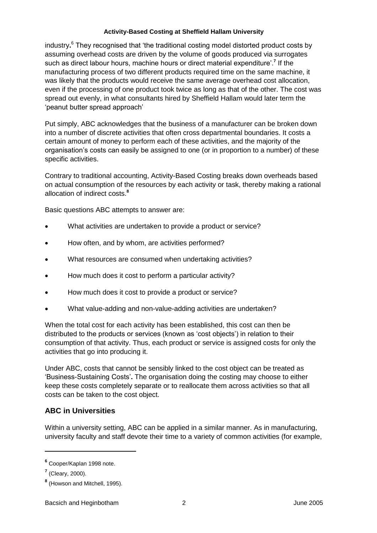industry**.** <sup>6</sup> They recognised that 'the traditional costing model distorted product costs by assuming overhead costs are driven by the volume of goods produced via surrogates such as direct labour hours, machine hours or direct material expenditure'.**<sup>7</sup>** If the manufacturing process of two different products required time on the same machine, it was likely that the products would receive the same average overhead cost allocation, even if the processing of one product took twice as long as that of the other. The cost was spread out evenly, in what consultants hired by Sheffield Hallam would later term the 'peanut butter spread approach'

Put simply, ABC acknowledges that the business of a manufacturer can be broken down into a number of discrete activities that often cross departmental boundaries. It costs a certain amount of money to perform each of these activities, and the majority of the organisation's costs can easily be assigned to one (or in proportion to a number) of these specific activities.

Contrary to traditional accounting, Activity-Based Costing breaks down overheads based on actual consumption of the resources by each activity or task, thereby making a rational allocation of indirect costs.**<sup>8</sup>**

Basic questions ABC attempts to answer are:

- What activities are undertaken to provide a product or service?
- How often, and by whom, are activities performed?
- What resources are consumed when undertaking activities?
- How much does it cost to perform a particular activity?
- How much does it cost to provide a product or service?
- What value-adding and non-value-adding activities are undertaken?

When the total cost for each activity has been established, this cost can then be distributed to the products or services (known as 'cost objects') in relation to their consumption of that activity. Thus, each product or service is assigned costs for only the activities that go into producing it.

Under ABC, costs that cannot be sensibly linked to the cost object can be treated as 'Business-Sustaining Costs'**.** The organisation doing the costing may choose to either keep these costs completely separate or to reallocate them across activities so that all costs can be taken to the cost object.

## **ABC in Universities**

Within a university setting, ABC can be applied in a similar manner. As in manufacturing, university faculty and staff devote their time to a variety of common activities (for example,

 $\overline{a}$ 

**<sup>6</sup>** Cooper/Kaplan 1998 note.

**<sup>7</sup>** (Cleary, 2000).

**<sup>8</sup>** (Howson and Mitchell, 1995).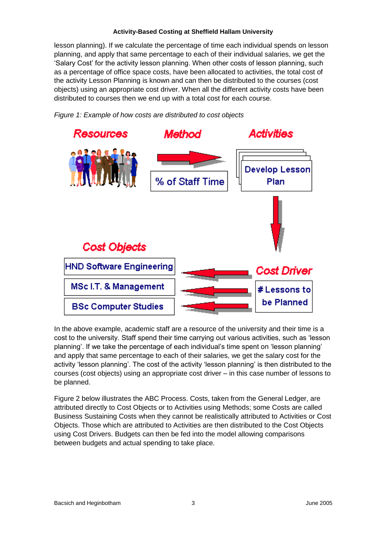lesson planning). If we calculate the percentage of time each individual spends on lesson planning, and apply that same percentage to each of their individual salaries, we get the 'Salary Cost' for the activity lesson planning. When other costs of lesson planning, such as a percentage of office space costs, have been allocated to activities, the total cost of the activity Lesson Planning is known and can then be distributed to the courses (cost objects) using an appropriate cost driver. When all the different activity costs have been distributed to courses then we end up with a total cost for each course.





In the above example, academic staff are a resource of the university and their time is a cost to the university. Staff spend their time carrying out various activities, such as 'lesson planning'. If we take the percentage of each individual's time spent on 'lesson planning' and apply that same percentage to each of their salaries, we get the salary cost for the activity 'lesson planning'. The cost of the activity 'lesson planning' is then distributed to the courses (cost objects) using an appropriate cost driver – in this case number of lessons to be planned.

Figure 2 below illustrates the ABC Process. Costs, taken from the General Ledger, are attributed directly to Cost Objects or to Activities using Methods; some Costs are called Business Sustaining Costs when they cannot be realistically attributed to Activities or Cost Objects. Those which are attributed to Activities are then distributed to the Cost Objects using Cost Drivers. Budgets can then be fed into the model allowing comparisons between budgets and actual spending to take place.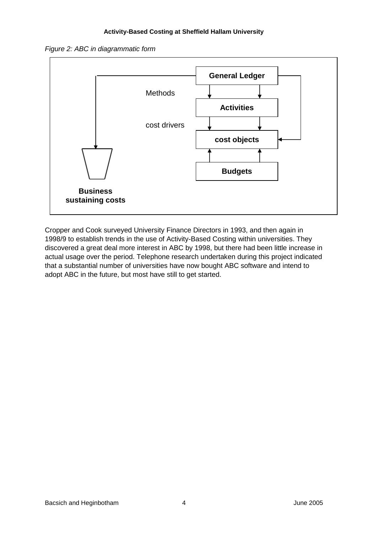



Cropper and Cook surveyed University Finance Directors in 1993, and then again in 1998/9 to establish trends in the use of Activity-Based Costing within universities. They discovered a great deal more interest in ABC by 1998, but there had been little increase in actual usage over the period. Telephone research undertaken during this project indicated that a substantial number of universities have now bought ABC software and intend to adopt ABC in the future, but most have still to get started.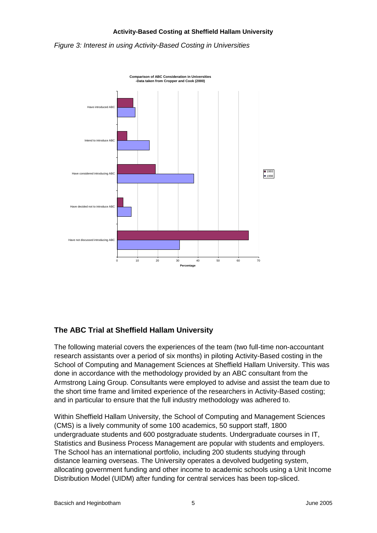*Figure 3: Interest in using Activity-Based Costing in Universities* 



## **The ABC Trial at Sheffield Hallam University**

The following material covers the experiences of the team (two full-time non-accountant research assistants over a period of six months) in piloting Activity-Based costing in the School of Computing and Management Sciences at Sheffield Hallam University. This was done in accordance with the methodology provided by an ABC consultant from the Armstrong Laing Group. Consultants were employed to advise and assist the team due to the short time frame and limited experience of the researchers in Activity-Based costing; and in particular to ensure that the full industry methodology was adhered to.

Within Sheffield Hallam University, the School of Computing and Management Sciences (CMS) is a lively community of some 100 academics, 50 support staff, 1800 undergraduate students and 600 postgraduate students. Undergraduate courses in IT, Statistics and Business Process Management are popular with students and employers. The School has an international portfolio, including 200 students studying through distance learning overseas. The University operates a devolved budgeting system, allocating government funding and other income to academic schools using a Unit Income Distribution Model (UIDM) after funding for central services has been top-sliced.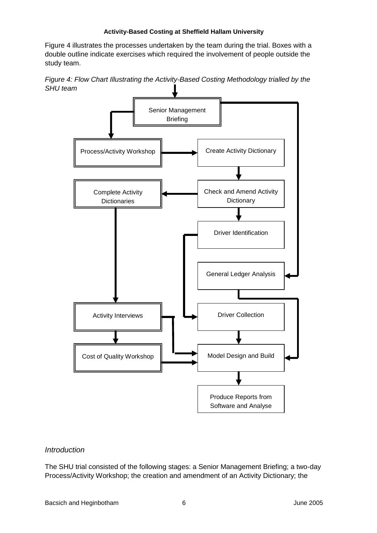Figure 4 illustrates the processes undertaken by the team during the trial. Boxes with a double outline indicate exercises which required the involvement of people outside the study team.

*Figure 4: Flow Chart Illustrating the Activity-Based Costing Methodology trialled by the SHU team*



#### *Introduction*

The SHU trial consisted of the following stages: a Senior Management Briefing; a two-day Process/Activity Workshop; the creation and amendment of an Activity Dictionary; the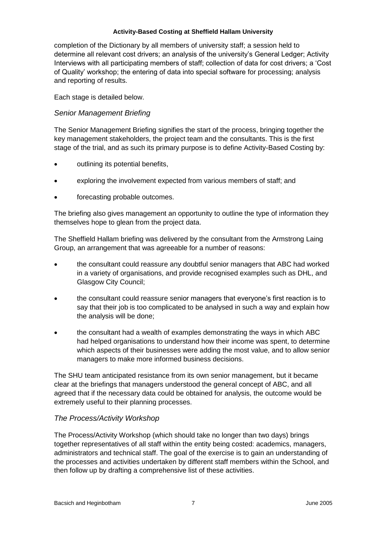completion of the Dictionary by all members of university staff; a session held to determine all relevant cost drivers; an analysis of the university's General Ledger; Activity Interviews with all participating members of staff; collection of data for cost drivers; a 'Cost of Quality' workshop; the entering of data into special software for processing; analysis and reporting of results.

Each stage is detailed below.

## *Senior Management Briefing*

The Senior Management Briefing signifies the start of the process, bringing together the key management stakeholders, the project team and the consultants. This is the first stage of the trial, and as such its primary purpose is to define Activity-Based Costing by:

- outlining its potential benefits,
- exploring the involvement expected from various members of staff; and
- forecasting probable outcomes.

The briefing also gives management an opportunity to outline the type of information they themselves hope to glean from the project data.

The Sheffield Hallam briefing was delivered by the consultant from the Armstrong Laing Group, an arrangement that was agreeable for a number of reasons:

- the consultant could reassure any doubtful senior managers that ABC had worked in a variety of organisations, and provide recognised examples such as DHL, and Glasgow City Council;
- the consultant could reassure senior managers that everyone's first reaction is to say that their job is too complicated to be analysed in such a way and explain how the analysis will be done;
- the consultant had a wealth of examples demonstrating the ways in which ABC had helped organisations to understand how their income was spent, to determine which aspects of their businesses were adding the most value, and to allow senior managers to make more informed business decisions.

The SHU team anticipated resistance from its own senior management, but it became clear at the briefings that managers understood the general concept of ABC, and all agreed that if the necessary data could be obtained for analysis, the outcome would be extremely useful to their planning processes.

## *The Process/Activity Workshop*

The Process/Activity Workshop (which should take no longer than two days) brings together representatives of all staff within the entity being costed: academics, managers, administrators and technical staff. The goal of the exercise is to gain an understanding of the processes and activities undertaken by different staff members within the School, and then follow up by drafting a comprehensive list of these activities.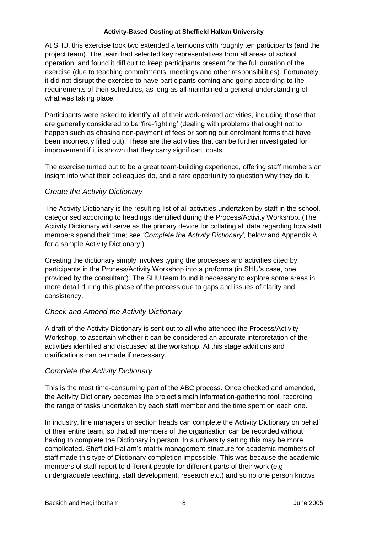At SHU, this exercise took two extended afternoons with roughly ten participants (and the project team). The team had selected key representatives from all areas of school operation, and found it difficult to keep participants present for the full duration of the exercise (due to teaching commitments, meetings and other responsibilities). Fortunately, it did not disrupt the exercise to have participants coming and going according to the requirements of their schedules, as long as all maintained a general understanding of what was taking place.

Participants were asked to identify all of their work-related activities, including those that are generally considered to be 'fire-fighting' (dealing with problems that ought not to happen such as chasing non-payment of fees or sorting out enrolment forms that have been incorrectly filled out). These are the activities that can be further investigated for improvement if it is shown that they carry significant costs.

The exercise turned out to be a great team-building experience, offering staff members an insight into what their colleagues do, and a rare opportunity to question why they do it.

### *Create the Activity Dictionary*

The Activity Dictionary is the resulting list of all activities undertaken by staff in the school, categorised according to headings identified during the Process/Activity Workshop. (The Activity Dictionary will serve as the primary device for collating all data regarding how staff members spend their time; see *'Complete the Activity Dictionary',* below and Appendix A for a sample Activity Dictionary.)

Creating the dictionary simply involves typing the processes and activities cited by participants in the Process/Activity Workshop into a proforma (in SHU's case, one provided by the consultant). The SHU team found it necessary to explore some areas in more detail during this phase of the process due to gaps and issues of clarity and consistency.

## *Check and Amend the Activity Dictionary*

A draft of the Activity Dictionary is sent out to all who attended the Process/Activity Workshop, to ascertain whether it can be considered an accurate interpretation of the activities identified and discussed at the workshop. At this stage additions and clarifications can be made if necessary.

## *Complete the Activity Dictionary*

This is the most time-consuming part of the ABC process. Once checked and amended, the Activity Dictionary becomes the project's main information-gathering tool, recording the range of tasks undertaken by each staff member and the time spent on each one.

In industry, line managers or section heads can complete the Activity Dictionary on behalf of their entire team, so that all members of the organisation can be recorded without having to complete the Dictionary in person. In a university setting this may be more complicated. Sheffield Hallam's matrix management structure for academic members of staff made this type of Dictionary completion impossible. This was because the academic members of staff report to different people for different parts of their work (e.g. undergraduate teaching, staff development, research etc.) and so no one person knows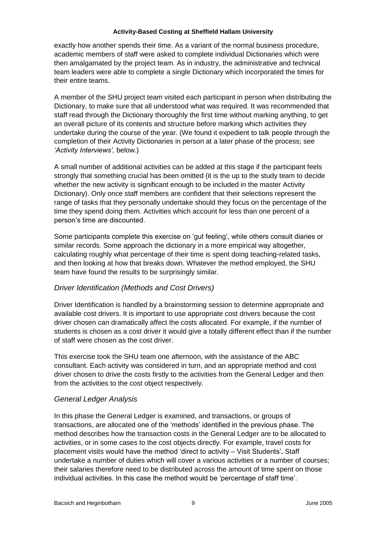exactly how another spends their time. As a variant of the normal business procedure, academic members of staff were asked to complete individual Dictionaries which were then amalgamated by the project team. As in industry, the administrative and technical team leaders were able to complete a single Dictionary which incorporated the times for their entire teams.

A member of the SHU project team visited each participant in person when distributing the Dictionary, to make sure that all understood what was required. It was recommended that staff read through the Dictionary thoroughly the first time without marking anything, to get an overall picture of its contents and structure before marking which activities they undertake during the course of the year. (We found it expedient to talk people through the completion of their Activity Dictionaries in person at a later phase of the process; see *'Activity Interviews',* below.)

A small number of additional activities can be added at this stage if the participant feels strongly that something crucial has been omitted (it is the up to the study team to decide whether the new activity is significant enough to be included in the master Activity Dictionary). Only once staff members are confident that their selections represent the range of tasks that they personally undertake should they focus on the percentage of the time they spend doing them. Activities which account for less than one percent of a person's time are discounted.

Some participants complete this exercise on 'gut feeling', while others consult diaries or similar records. Some approach the dictionary in a more empirical way altogether, calculating roughly what percentage of their time is spent doing teaching-related tasks, and then looking at how that breaks down. Whatever the method employed, the SHU team have found the results to be surprisingly similar.

## *Driver Identification (Methods and Cost Drivers)*

Driver Identification is handled by a brainstorming session to determine appropriate and available cost drivers. It is important to use appropriate cost drivers because the cost driver chosen can dramatically affect the costs allocated. For example, if the number of students is chosen as a cost driver it would give a totally different effect than if the number of staff were chosen as the cost driver.

This exercise took the SHU team one afternoon, with the assistance of the ABC consultant. Each activity was considered in turn, and an appropriate method and cost driver chosen to drive the costs firstly to the activities from the General Ledger and then from the activities to the cost object respectively.

#### *General Ledger Analysis*

In this phase the General Ledger is examined, and transactions, or groups of transactions, are allocated one of the 'methods' identified in the previous phase. The method describes how the transaction costs in the General Ledger are to be allocated to activities, or in some cases to the cost objects directly. For example, travel costs for placement visits would have the method 'direct to activity – Visit Students'**.** Staff undertake a number of duties which will cover a various activities or a number of courses; their salaries therefore need to be distributed across the amount of time spent on those individual activities. In this case the method would be 'percentage of staff time'.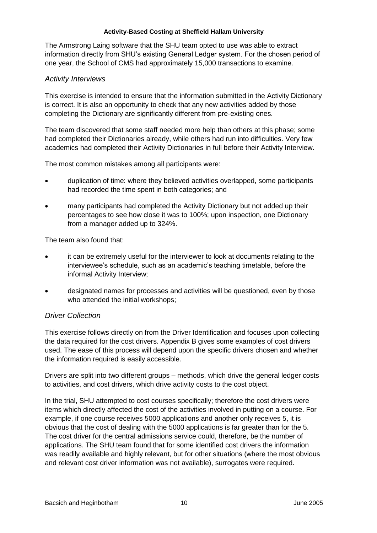The Armstrong Laing software that the SHU team opted to use was able to extract information directly from SHU's existing General Ledger system. For the chosen period of one year, the School of CMS had approximately 15,000 transactions to examine.

### *Activity Interviews*

This exercise is intended to ensure that the information submitted in the Activity Dictionary is correct. It is also an opportunity to check that any new activities added by those completing the Dictionary are significantly different from pre-existing ones.

The team discovered that some staff needed more help than others at this phase; some had completed their Dictionaries already, while others had run into difficulties. Very few academics had completed their Activity Dictionaries in full before their Activity Interview.

The most common mistakes among all participants were:

- duplication of time: where they believed activities overlapped, some participants had recorded the time spent in both categories; and
- many participants had completed the Activity Dictionary but not added up their percentages to see how close it was to 100%; upon inspection, one Dictionary from a manager added up to 324%.

The team also found that:

- it can be extremely useful for the interviewer to look at documents relating to the interviewee's schedule, such as an academic's teaching timetable, before the informal Activity Interview;
- designated names for processes and activities will be questioned, even by those who attended the initial workshops;

## *Driver Collection*

This exercise follows directly on from the Driver Identification and focuses upon collecting the data required for the cost drivers. Appendix B gives some examples of cost drivers used. The ease of this process will depend upon the specific drivers chosen and whether the information required is easily accessible.

Drivers are split into two different groups – methods, which drive the general ledger costs to activities, and cost drivers, which drive activity costs to the cost object.

In the trial, SHU attempted to cost courses specifically; therefore the cost drivers were items which directly affected the cost of the activities involved in putting on a course. For example, if one course receives 5000 applications and another only receives 5, it is obvious that the cost of dealing with the 5000 applications is far greater than for the 5. The cost driver for the central admissions service could, therefore, be the number of applications. The SHU team found that for some identified cost drivers the information was readily available and highly relevant, but for other situations (where the most obvious and relevant cost driver information was not available), surrogates were required.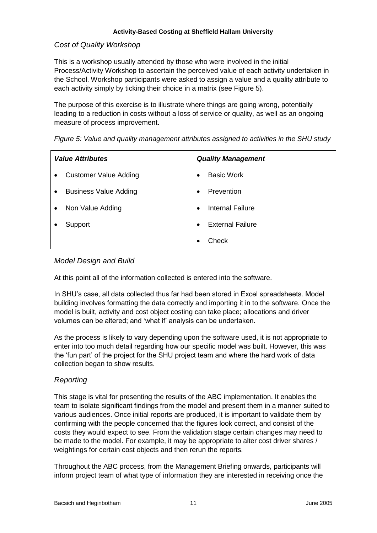### *Cost of Quality Workshop*

This is a workshop usually attended by those who were involved in the initial Process/Activity Workshop to ascertain the perceived value of each activity undertaken in the School. Workshop participants were asked to assign a value and a quality attribute to each activity simply by ticking their choice in a matrix (see Figure 5).

The purpose of this exercise is to illustrate where things are going wrong, potentially leading to a reduction in costs without a loss of service or quality, as well as an ongoing measure of process improvement.

| <b>Value Attributes</b>                   | <b>Quality Management</b>      |
|-------------------------------------------|--------------------------------|
| <b>Customer Value Adding</b><br>$\bullet$ | <b>Basic Work</b><br>$\bullet$ |
| <b>Business Value Adding</b>              | Prevention<br>$\bullet$        |
| Non Value Adding                          | <b>Internal Failure</b>        |
| Support                                   | <b>External Failure</b>        |
|                                           | Check                          |

*Figure 5: Value and quality management attributes assigned to activities in the SHU study*

### *Model Design and Build*

At this point all of the information collected is entered into the software.

In SHU's case, all data collected thus far had been stored in Excel spreadsheets. Model building involves formatting the data correctly and importing it in to the software. Once the model is built, activity and cost object costing can take place; allocations and driver volumes can be altered; and 'what if' analysis can be undertaken.

As the process is likely to vary depending upon the software used, it is not appropriate to enter into too much detail regarding how our specific model was built. However, this was the 'fun part' of the project for the SHU project team and where the hard work of data collection began to show results.

## *Reporting*

This stage is vital for presenting the results of the ABC implementation. It enables the team to isolate significant findings from the model and present them in a manner suited to various audiences. Once initial reports are produced, it is important to validate them by confirming with the people concerned that the figures look correct, and consist of the costs they would expect to see. From the validation stage certain changes may need to be made to the model. For example, it may be appropriate to alter cost driver shares / weightings for certain cost objects and then rerun the reports.

Throughout the ABC process, from the Management Briefing onwards, participants will inform project team of what type of information they are interested in receiving once the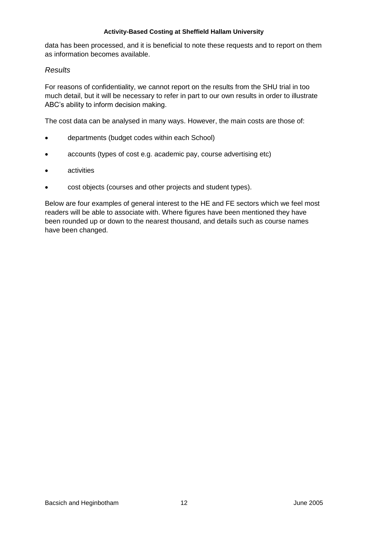data has been processed, and it is beneficial to note these requests and to report on them as information becomes available.

### *Results*

For reasons of confidentiality, we cannot report on the results from the SHU trial in too much detail, but it will be necessary to refer in part to our own results in order to illustrate ABC's ability to inform decision making.

The cost data can be analysed in many ways. However, the main costs are those of:

- departments (budget codes within each School)
- accounts (types of cost e.g. academic pay, course advertising etc)
- **•** activities
- cost objects (courses and other projects and student types).

Below are four examples of general interest to the HE and FE sectors which we feel most readers will be able to associate with. Where figures have been mentioned they have been rounded up or down to the nearest thousand, and details such as course names have been changed.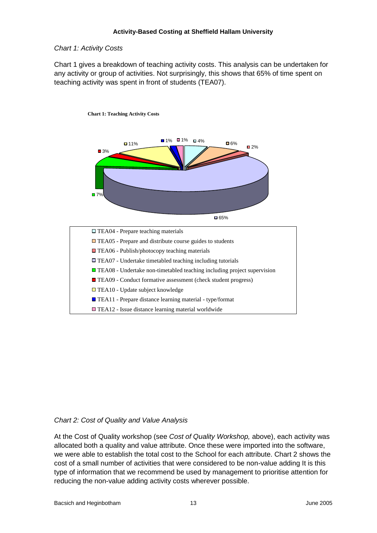### *Chart 1: Activity Costs*

Chart 1 gives a breakdown of teaching activity costs. This analysis can be undertaken for any activity or group of activities. Not surprisingly, this shows that 65% of time spent on teaching activity was spent in front of students (TEA07).



## *Chart 2: Cost of Quality and Value Analysis*

At the Cost of Quality workshop (see *Cost of Quality Workshop,* above), each activity was allocated both a quality and value attribute. Once these were imported into the software, we were able to establish the total cost to the School for each attribute. Chart 2 shows the cost of a small number of activities that were considered to be non-value adding It is this type of information that we recommend be used by management to prioritise attention for reducing the non-value adding activity costs wherever possible.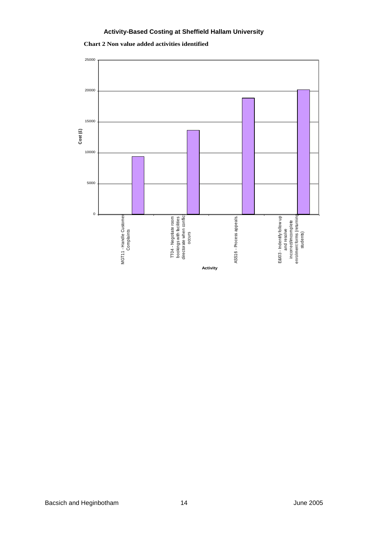

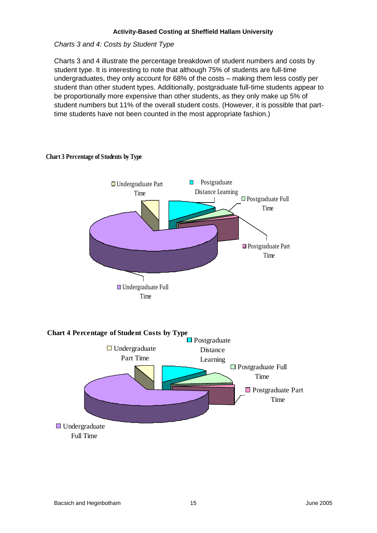#### *Charts 3 and 4: Costs by Student Type*

Charts 3 and 4 illustrate the percentage breakdown of student numbers and costs by student type. It is interesting to note that although 75% of students are full-time undergraduates, they only account for 68% of the costs – making them less costly per student than other student types. Additionally, postgraduate full-time students appear to be proportionally more expensive than other students, as they only make up 5% of student numbers but 11% of the overall student costs. (However, it is possible that parttime students have not been counted in the most appropriate fashion.)



#### **Chart 3 Percentage of Students by Type**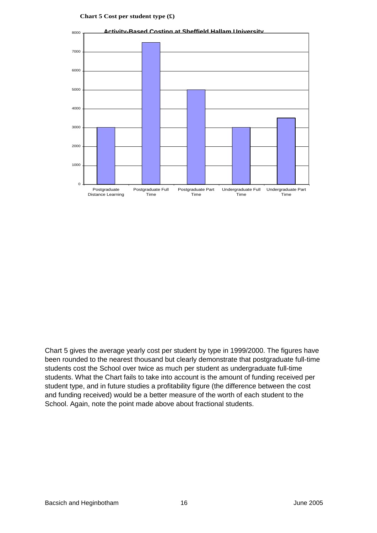#### **Chart 5 Cost per student type (£)**



Chart 5 gives the average yearly cost per student by type in 1999/2000. The figures have been rounded to the nearest thousand but clearly demonstrate that postgraduate full-time students cost the School over twice as much per student as undergraduate full-time students. What the Chart fails to take into account is the amount of funding received per student type, and in future studies a profitability figure (the difference between the cost and funding received) would be a better measure of the worth of each student to the School. Again, note the point made above about fractional students.